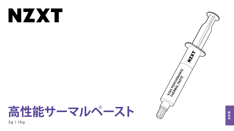# NXX

**高性能サーマルペースト** 3g | 15g





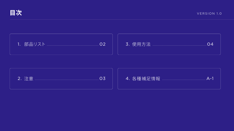







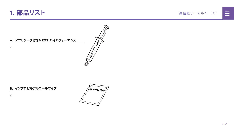#### 高性能サーマルペースト





x1

<span id="page-2-0"></span>

### **B. イソプロピルアルコールワイプ**

x1



 $\left\langle \frac{\partial}{\partial y} \right\rangle$ 

**ARTISTICS AND REAL PROPERTY**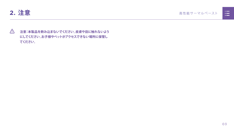<span id="page-3-0"></span>

## **注意:本製品を飲み込まないでください。皮膚や目に触れないよう にしてください。お子様やペットがアクセスできない場所に保管し てください。**

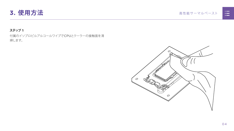<span id="page-4-0"></span>

#### **ステップ 1**

付属のイソプロピルアルコールワイプでCPUとクーラーの接触面を清 掃します。



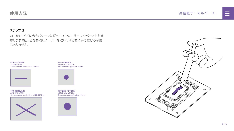高性能サーマルペースト





#### **ステップ 2**

CPUのサイズに合うパターンに従って、CPUにサーマルペーストを塗 布します(縮尺図を参照)。クーラーを取り付ける前に手で広げる必要 はありません。

# **使用方法**

**CPU - 35X35MM** Intel LGA 1200/115x Recommended application : 10mm



**CPU SIZE - 40X40MM** AM4 & Intel LGA 20xx Recommended application : 15mm





**CPU - 68X50.5MM** AMD STR4/sTRX4 Recommended application : 43.68x26.18mm



**CPU - 37.5X45MM** Intel LGA 1700 Recommended application : 25.8mm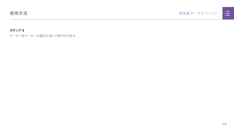## 高性能サーマルペースト



#### **ステップ 3**

クーラーをメーカーの指示に従って取り付けます。

## **使用方法**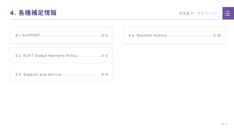<span id="page-7-0"></span>

#### 高性能サーマルペースト



|  | <u>n in de la</u>                                                                                                     |  |
|--|-----------------------------------------------------------------------------------------------------------------------|--|
|  | <u>ra masa</u>                                                                                                        |  |
|  | <u>a shekara ta 1989, a shekara ta 1989, a shekara ta 1989, a shekara ta 1989, a shekara ta 1989, a shekara ta 19</u> |  |
|  |                                                                                                                       |  |
|  |                                                                                                                       |  |

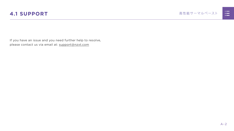

<span id="page-8-0"></span>If you have an issue and you need further help to resolve, please contact us via email at: support@nzxt.com

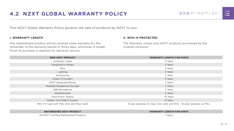



# <span id="page-9-0"></span>**4.2 NZXT GLOBAL WARRANTY POLICY 高性能サーマルペースト**

This NZXT Global Warranty Policy governs the sale of products by NZXT to you.

#### **I. WARRANTY LENGTH**

Any replacement product will be covered under warranty for the remainder of the warranty period or thirty days, whichever is longer. Proof of purchase is required for warranty service.

#### **II. WHO IS PROTECTED**

The Warranty covers only NZXT products purchased by the original consumer.

| <b>NEW NZXT PRODUCT</b>                     | <b>WARRANTY LENGTH FOR PARTS</b>                                       |  |  |
|---------------------------------------------|------------------------------------------------------------------------|--|--|
| <b>Computer Cases</b>                       | 2 Years                                                                |  |  |
| <b>Temperature Meters</b>                   | 2 Years                                                                |  |  |
| Fans                                        | 2 Years                                                                |  |  |
| Lighting                                    | 2 Years                                                                |  |  |
| Accessories                                 | 2 Years                                                                |  |  |
| <b>Kraken M Coolers</b>                     | 3 Years                                                                |  |  |
| NZXT Keyboard/Mouse                         | 2 Years                                                                |  |  |
| Headset/Headphone Storage                   | 2 Years                                                                |  |  |
| <b>USB Microphone</b>                       | 2 Years                                                                |  |  |
| Motherboards                                | 3 Years                                                                |  |  |
| <b>Gold Power Supply</b>                    | 10 Years                                                               |  |  |
| Kraken X/X RGB/Z Coolers                    | 6 Years                                                                |  |  |
| Mini ITX Case with PSU, AIO, and Riser Card | 3-year warranty on case, riser card, and AIO. 10-year warranty on PSU. |  |  |

#### **REFURBISHED NZXT PRODUCT WARRANTY LENGTH FOR PARTS**





All NZXT Certified Refurbished Products 1 Years

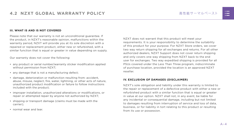#### **III. WHAT IS AND IS NOT COVERED**

Please note that our warranty is not an unconditional guarantee. If the product, in NZXT's reasonable opinion, malfunctions within the warranty period, NZXT will provide you at its sole discretion with a repaired or replacement product, either new or refurbished, with a similar function that is equal or greater in value depending on supply.

Our warranty does not cover the following:

- any product or serial number/warranty sticker modification applied without permission from NZXT;
- any damage that is not a manufacturing defect;
- damage, deterioration or malfunction resulting from: accident, abuse, misuse, neglect, fire, water, lightning, or other acts of nature, unauthorized product modification or failure to follow instructions included with the product;
- improper installation, unauthorized alterations or modifications, or repair or attempted repair by anyone not authorized by NZXT;
- shipping or transport damage (claims must be made with the carrier);
- normal wear and tear.

NZXT does not warrant that this product will meet your requirements. It is your responsibility to determine the suitability of this product for your purpose. For NZXT Store orders, we cover two way return shipping for all exchanges and returns. For all other authorized dealers, NZXT Support does not cover return shipping and only covers one way shipping from NZXT back to the end user for exchanges. Two way expedited shipping is provided for all PSUs covered under the Less Than Three program, indiscriminate of purchase location, provided the location is an approved NZXT reseller.

#### **IV. EXCLUSION OF DAMAGES (DISCLAIMER)**

NZXT's sole obligation and liability under this warranty is limited to the repair or replacement of a defective product with either a new or refurbished product with a similar function that is equal or greater in value at our option. NZXT shall not, in any event, be liable for any incidental or consequential damage, including but not limited to damages resulting from interruption of service and loss of data, business, or for liability in tort relating to this product or resulting from its use or possession.

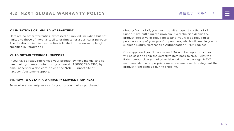#### **V. LIMITATIONS OF IMPLIED WARRANTIEST**

Here are no other warranties, expressed or implied, including but not limited to those of merchantability or fitness for a particular purpose. The duration of implied warranties is limited to the warranty length specified in Paragraph I.

#### **VI. TO OBTAIN TECHNICAL SUPPORT**

If you have already referenced your product owner's manual and still need help, you may contact us by phone at +1 (800) 228-9395, by email at [service@nzxt.com](mailto:service%40nzxt.com?subject=), or visit the NZXT Support site at [nzxt.com/customer-support.](http://nzxt.com/customer-support)

#### **VII. HOW TO OBTAIN A WARRANTY SERVICE FROM NZXT**

To receive a warranty service for your product when purchased

directly from NZXT, you must submit a request via the NZXT Support site outlining the problem. If a technician deems the product defective or requiring testing, you will be required to provide a copy of your proof of purchase, which will enable you to submit a Return Merchandise Authorization "RMA" request.

Once approved, you`ll receive an RMA number, upon which you will be asked to ship the defective item back to NZXT with the RMA number clearly marked or labelled on the package. NZXT recommends that appropriate measures are taken to safeguard the product from damage during shipping.

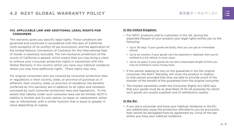#### 高性能サーマルペースト

#### **VIII. APPLICABLE LAW AND ADDITIONAL LEGAL RIGHTS FOR CONSUMERS**

This warranty gives you specific legal rights. These conditions are governed and construed in accordance with the laws of California (with exception of its conflict of law provisions), and the application of the United Nations Convention of Contracts for the International Sale of Goods is expressly excluded. The non-exclusive jurisdiction of the courts of California is agreed, which means that you may bring a claim to enforce your consumer protection rights in connection with this Global Warranty in the country which you have your habitual residence where you may have additional rights. These rights may vary.

For original consumers who are covered by consumer protection laws or regulations in their country, state, or province of purchase or, if different, their country, state, or province of residence, the benefits conferred by this warranty are in addition to all rights and remedies conveyed by such consumer protection laws and regulations. To the extent that liability under such consumer laws can be limited, NZXT's liability is limited, and its sole option, to repair or replacement, either new or refurbished, with a similar function that is equal or greater in value depending on supply.

#### **In the United Kingdom:**

- For NZXT products sold to customers in the UK, during the expected lifespan of your product your legal rights entitle you to the following:
	- > Up to 30 days: if your goods are faulty, then you can get an immediate refund.
	- > Up to six months: if your goods can't be repaired or replaced, then you're entitled to a full refund, in most cases.
	- > Up to six years: if your goods do not last a reasonable length of time you may be entitled to some money back.
- If the person seeking to rely on the guarantee is not the original consumer, the NZXT Warranty will cover the product in relation to that person provided that they are able to provide proof of the transfer of the benefit of the guarantee from the original consumer.
- The implied warranties under the Consumer Rights Act 2015 says that your goods must be as described, fit for all purposes for which such goods are usually supplied, and of satisfactory quality.

#### **In the EU:**

• If you are a consumer and have your habitual residence in the EU, you additionally enjoy the protection afforded to you by provisions that cannot be derogated from by agreement by virtue of the law where you have your habitual residence.

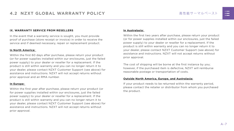#### **IX. WARRANTY SERVICE FROM RESELLERS**

In the event that a warranty service is sought, you must provide proof of purchase (store receipt or invoice) in order to receive the service and if deemed necessary, repair or replacement product.

#### **In North America:**

Within the first 60 days after purchase, please return your product (or for power supplies installed within our enclosures, just the failed power supply) to your dealer or reseller for a replacement. If the product is still within warranty and you can no longer return it to your dealer, please contact NZXT Customer Support (see above) for assistance and instructions. NZXT will not accept returns without prior approval and an RMA number.

#### **In Europe:**

Within the first year after purchase, please return your product (or for power supplies installed within our enclosures, just the failed power supply) to your dealer or reseller for a replacement. If the product is still within warranty and you can no longer return it to your dealer, please contact NZXT Customer Support (see above) for assistance and instructions. NZXT will not accept returns without prior approval.

#### **In Australasia:**

Within the first two years after purchase, please return your product (or for power supplies installed within our enclosures, just the failed power supply) to your dealer or reseller for a replacement. If the product is still within warranty and you can no longer return it to your dealer, please contact NZXT Customer Support (see above) for assistance and instructions. NZXT will not accept returns without prior approval.

The cost of shipping will be borne at the first instance by you; however, if the purchased item is defective, NZXT will reimburse reasonable postage or transportation of costs.

#### **Outside North America, Europe, and Australasia:**

If your product needs to be returned within the warranty period, please contact the retailer or distributor from whom you purchased the product.

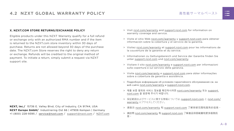#### 高性能サーマルペースト

#### **X. NZXT.COM STORE RETURNS/EXCHANGE POLICY**

Eligible products under this NZXT Warranty qualify for a full refund or exchange only with an authorized RMA number and if the item is returned to the NZXT.com store inventory within 30 days of purchase. Returns are not allowed beyond 30 days of the purchase date. The NZXT.com Store reserves the right to deny any return or exchange. Refunds will be credited to the original method of payment. To initiate a return, simply submit a request via NZXT support site.

- > Visit [nzxt.com/warranty](http://nzxt.com/warranty) and [support.nzxt.com](http://support.nzxt.com) for information on warranty coverage and service.
- > Visite el sitio Web [nzxt.com/warranty](http://nzxt.com/warranty) y [support.nzxt.com](http://support.nzxt.com) para obtener información sobre la cobertura y el servicio de la garantía.
- > Visitez [nzxt.com/warranty](http://nzxt.com/warranty) et [support.nzxt.com](http://support.nzxt.com) pour les informations de la couverture de la garantie et du service.
- > Informationen zu Geltungsbereich und Service der Garantie finden Sie unter [support.nzxt.com](http://support.nzxt.com) und [nzxt.com/warranty.](http://nzxt.com/warranty)
- > Visitare il sito [nzxt.com/warranty](http://nzxt.com/warranty) e [support.nzxt.com](http://support.nzxt.com) per informazioni sulla copertura e sul servizio della garanzia.
- > Visite [nzxt.com/warranty](http://nzxt.com/warranty) e [support.nzxt.com](http://support.nzxt.com) para obter informações sobre a cobertura da garantia e assistência.
- > Подробную информацию об условиях гарантийного обслуживания см. на веб-сайте [nzxt.com/warranty](http://nzxt.com/warranty) и [support.nzxt.com](http://support.nzxt.com).
- > 제품 보증 범위와 서비스 정보를 확인하시려면 [nzxt.com/warranty](http://nzxt.com/warranty) 또는 [support.](http://support.nzxt.com) [nzxt.com](http://support.nzxt.com) 을 방문해 주시기 바랍니다.
- > 保証範囲およびサービスに関する情報については、[support.nzxt.com](http://support.nzxt.com) と [nzxt.com/](http://nzxt.com/warranty) [warranty](http://nzxt.com/warranty) にアクセスしてください。
- > 请造访 nzxt.com/warranty 和 [support.nzxt.com](http://support.nzxt.com) 了解保修范围和服务的信息。
- > 請訪問 [nzxt.com/warranty](http://nzxt.com/warranty) 和 [support.nzxt.com](http://support.nzxt.com) 了解產品保固範圍和更多服務訊 息。



**NZXT, Inc./** 15736 E. Valley Blvd, City of Industry, CA 91744, USA **NZXT Europe GmbH/** Industriering Ost 66 | 47906 Kempen | Germany +1 (800) 228-9395 / service@nzxt.com / [support@nzxt.com](mailto:support%40nzxt.com?subject=) / NZX[T.com](http://nzxt.com)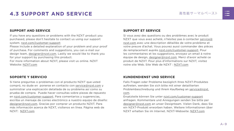

# <span id="page-15-0"></span>**4.3 SUPPORT AND SERVICE** 高性能サーマルペースト

#### **SUPPORT AND SERVICE**

If you have any questions or problems with the NZXT product you purchased, please don't hesitate to contact us using our support system. [nzxt.com/customer-support](http://nzxt.com/customer-support)

Please include a detailed explanation of your problem and your proof of purchase. For comments and suggestions, you can e-mail our design team, [designer@nzxt.com.](mailto:designer%40nzxt.com?subject=) Lastly we would like to thank you for your support by purchasing this product.

For more information about NZXT, please visit us online. NZXT Website: NZX[T.com](http://nzxt.com)

#### **SOPORTE Y SERVICIO**

Si tiene preguntas o problemas con el producto NZXT que usted compró, no dude en ponerse en contacto con [service@nzxt.com](mailto:service%40nzxt.com?subject=) y suministrar una explicación detallada de su problema así como su prueba de compra. Puede hacer consultas sobre piezas de repuesto en [nzxt.com/customer-support.](http://nzxt.com/customer-support) Para comentarios y sugerencias, escriba un mensaje de correo electrónico a nuestro equipo de diseño: [designer@nzxt.com.](mailto:designer%40nzxt.com?subject=) Gracias por comprar un producto NZXT. Para más información acerca de NZXT, visítenos en línea. Página web de NZXT: NZX[T.com](http://nzxt.com)

#### **SUPPORT ET SERVICE**

Si vous avez des questions ou des problèmes avec le produit NZXT que vous avez acheté, n'hésitez pas à contacter service@ nzxt.com avec une description détaillée de votre problème et votre preuve d'achat. Vous pouvez aussi commander des pièces de remplacement auprès [nzxt.com/customer-support.](http://nzxt.com/customer-support) Pour les commentaires et les suggestions, envoyez un email à notre équipe de design, [designer@nzxt.com.](mailto:designer%40nzxt.com?subject=) Merci d'avoir acheté ce produit de NZXT. Pour plus d'informations sur NZXT, visitez notre site Web. Site Web de NZXT : NZX[T.com](http://nzxt.com)

#### **KUNDENDIENST UND SERVICE**

Falls Fragen oder Probleme bezüglich Ihres NZXT-Produktes auftreten, wenden Sie sich bitte mit einer detaillierten Problembeschreibung und Ihrem Kaufbeleg an [service@nzxt.](mailto:service%40nzxt.com?subject=) [com](mailto:service%40nzxt.com?subject=).

Ersatzteile können Sie unter [nzxt.com/customer-support](http://nzxt.com/customer-support) anfragen. Kommentare und Anregungen senden Sie bitte per [designer@nzxt.com](mailto:designer%40nzxt.com?subject=) an unser Designteam. Vielen Dank, dass Sie ein NZXT-Produkt erworben haben. Weitere Informationen über NZXT erhalten Sie im Internet. NZXT-Webseite: NZX[T.com](http://nzxt.com)

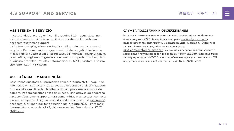#### **ASSISTENZA E SERVIZIO**

In caso di dubbi o problemi con il prodotto NZXT acquistato, non esitate a contattarci utilizzando il nostro sistema di assistenza. [nzxt.com/customer-support](http://nzxt.com/customer-support)

Includere una spiegazione dettagliata del problema e la prova di acquisto. Per commenti e suggerimenti, siete pregati di inviare un messaggio al nostro team di progettisti, all'indirizzo: [designer@nzxt.](mailto:designer%40nzxt.com?subject=) [com](mailto:designer%40nzxt.com?subject=). Infine, vogliamo ringraziarvi del vostro supporto con l'acquisto di questo prodotto. Per altre informazioni su NZXT, visitate il nostro sito. Sito NZXT: NZX[T.com](http://nzxt.com)

## **ASSISTÊNCIA E MANUTENÇÃO**

Caso tenha questões ou problemas com o produto NZXT adquirido, não hesite em contactar-nos através do endereço [service@nzxt.com](mailto:service%40nzxt.com?subject=) fornecendo a explicação detalhada do seu problema e a prova de compra. Poderá solicitar peças de substituição através do endereço [nzxt.com/customer-support.](http://nzxt.com/customer-support) Para comentários e sugestões, contacte a nossa equipa de design através do endereço de e-mail, [designer@](mailto:designer%40nzxt.com?subject=) [nzxt.com.](mailto:designer%40nzxt.com?subject=) Obrigado por ter adquirido um produto NZXT. Para mais informações acerca da NZXT, visite-nos online. Web site da NZXT: NZX[T.com](http://nzxt.com)

#### **СЛУЖБА ПОДДЕРЖКИ И ОБСЛУЖИВАНИЯ**

В случае возникновения вопросов или неисправностей в приобретенных вами продуктах NZXT обращайтесь по адресу: [service@nzxt.com](mailto:service%40nzxt.com?subject=) с подробным описанием проблемы и подтверждением покупки. О наличии запчастей можно узнать, обратившись по адресу:

[nzxt.com/customer-support](http://nzxt.com/customer-support). Замечания и предложения отправляйте в адрес нашей группы разработчиков:  $designer@nzxt.com$ . Благодарим вас за покупку продукта NZXT. Более подробная информация о компании NZXT представлена на наших веб-сайтах. Веб-сайт NZXT: NZX[T.com](http://nzxt.com)

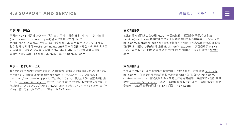

#### **지원 및 서비스**

구입한 NZXT 제품과 관련하여 질문 또는 문제가 있을 경우, 당사의 지원 시스템 ([nzxt.com/customer-support\)](http://nzxt.com/customer-support)을 사용하여 문의하십시오. 문제를 자세히 기술하고 구매 증빙을 제출하십시오. 의견 또는 제안 사항이 잇을 경우 당사 설계 팀에 [designer@nzxt.com](mailto:designer%40nzxt.com?subject=)으로 이메일을 보내십시오. 마지막으로 이 제품을 구입하여 당사를 응원해 주셔서 감사합니다. NZXT에 대해 자세히 알려면 온라인으로 방문하십시오. NZXT 웹사이트: NZX[T.com](http://nzxt.com)

#### **サポートおよびサービス**

購入されましたNZXTの製品に関するご質問または問題は、問題の詳細および購入の証 明を添えて、ご遠慮なく[service@nzxt.com](mailto:service%40nzxt.com?subject=)までご連絡ください。交換部品は [nzxt.com/customer-support](http://nzxt.com/customer-support)までお尋ねください。ご意見およびご提案は弊社設計 チーム、[designer@nzxt.com](mailto:designer%40nzxt.com?subject=) までメールを送信してください。NZXT製品をご購入い ただきましてありがとうございます。 NZXTに関する詳細は、インターネット上のウェブサ イトをご覧ください。NZXT ウェブサイト: NZX[T.com](http://nzxt.com)

#### **支持和服务**

如果有任何疑问或者在使用 NZXT 产品的过程中遇到任何问题,欢迎联络 [service@nzxt.com,](mailto:service%40nzxt.com?subject=)联络时请提供关于问题的详细说明及购买凭证。您可以向 [nzxt.com/customer-support](http://nzxt.com/customer-support) 查询更换部件。如有任何意见或建议,欢迎致信 我们的设计团队,电子邮件地址是 designer@nzxt.com。感谢您购买 NZXT 产品。有关 NZXT 的更多信息,请造访我们的在线网站。NZXT 网站:NZX[T.](http://nzxt.com) [com](http://nzxt.com)

#### **支援和服務**

如果在使用NZXT 產品的過程中有遇到任何問題或疑問, 歡迎聯繫 [service@](mailto:service%40nzxt.com?subject=) [nzxt.com](mailto:service%40nzxt.com?subject=), 並請提供問題的詳細敘述及購買證明。您可以透過 [nzxt.com/](http://nzxt.com/customer-support) [customer-support](http://nzxt.com/customer-support) 查詢更換部件。如有任何意見或建議,歡迎來信與設計團隊 聯繫 designer@nzxt.com。最後,感謝您購買 NZXT 產品。有關 NZXT 的更 多信息,請訪問我們的網站。NZXT 網站: NZXT.com